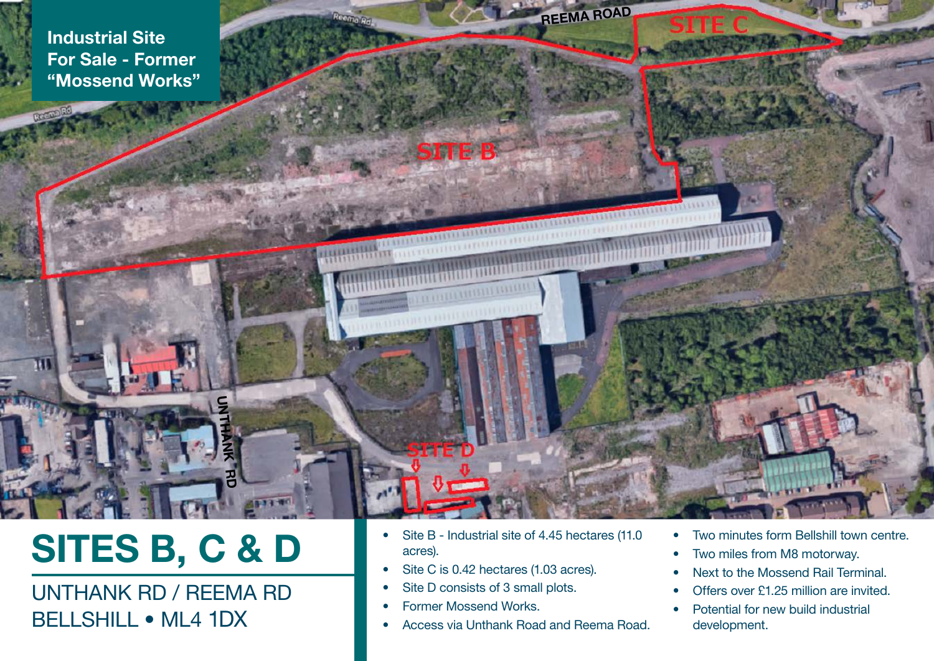Industrial Site For Sale - Former "Mossend Works"

нī

# SITES B, C & D

UNTHANK RD

## UNTHANK RD / REEMA RD BELLSHILL • ML4 1DX

• Site B - Industrial site of 4.45 hectares (11.0) acres).

REEMA ROAD

**CONTRACTOR** 

- Site C is 0.42 hectares (1.03 acres).
- Site D consists of 3 small plots.
- Former Mossend Works.

STATER:

• Access via Unthank Road and Reema Road.

- Two minutes form Bellshill town centre.
- Two miles from M8 motorway.
- Next to the Mossend Rail Terminal.
- Offers over £1.25 million are invited.
- Potential for new build industrial development.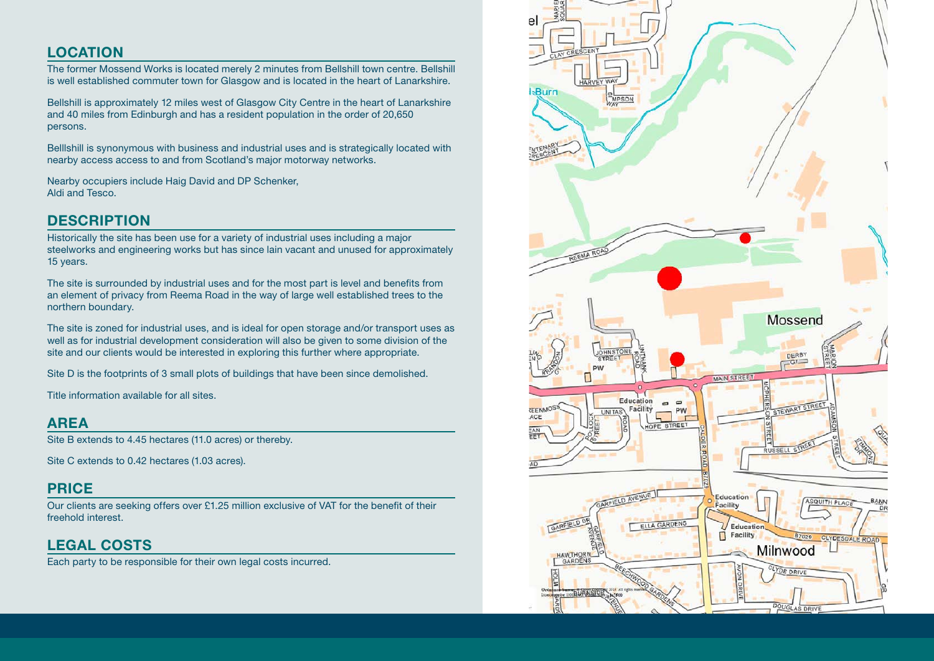#### LOCATION

The former Mossend Works is located merely 2 minutes from Bellshill town centre. Bellshill is well established commuter town for Glasgow and is located in the heart of Lanarkshire.

Bellshill is approximately 12 miles west of Glasgow City Centre in the heart of Lanarkshire and 40 miles from Edinburgh and has a resident population in the order of 20,650 persons.

Belllshill is synonymous with business and industrial uses and is strategically located with nearby access access to and from Scotland's major motorway networks.

Nearby occupiers include Haig David and DP Schenker, Aldi and Tesco.

#### **DESCRIPTION**

Historically the site has been use for a variety of industrial uses including a major steelworks and engineering works but has since lain vacant and unused for approximately 15 years.

The site is surrounded by industrial uses and for the most part is level and benefits from an element of privacy from Reema Road in the way of large well established trees to the northern boundary.

The site is zoned for industrial uses, and is ideal for open storage and/or transport uses as well as for industrial development consideration will also be given to some division of the site and our clients would be interested in exploring this further where appropriate.

Site D is the footprints of 3 small plots of buildings that have been since demolished.

Title information available for all sites.

#### AREA

Site B extends to 4.45 hectares (11.0 acres) or thereby.

Site C extends to 0.42 hectares (1.03 acres).

#### PRICE

Our clients are seeking offers over £1.25 million exclusive of VAT for the benefit of their freehold interest.

### LEGAL COSTS

Each party to be responsible for their own legal costs incurred.

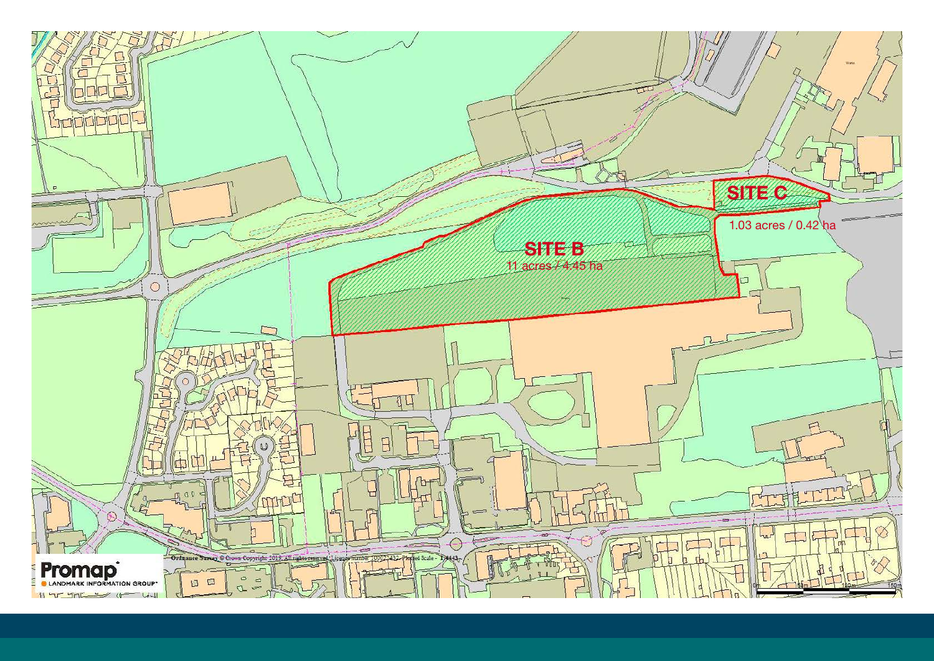